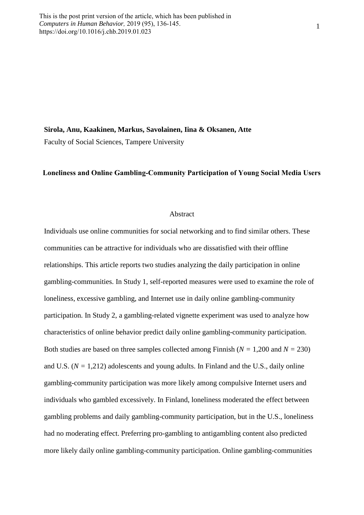**Sirola, Anu, Kaakinen, Markus, Savolainen, Iina & Oksanen, Atte**  Faculty of Social Sciences, Tampere University

#### **Loneliness and Online Gambling-Community Participation of Young Social Media Users**

#### Abstract

Individuals use online communities for social networking and to find similar others. These communities can be attractive for individuals who are dissatisfied with their offline relationships. This article reports two studies analyzing the daily participation in online gambling-communities. In Study 1, self-reported measures were used to examine the role of loneliness, excessive gambling, and Internet use in daily online gambling-community participation. In Study 2, a gambling-related vignette experiment was used to analyze how characteristics of online behavior predict daily online gambling-community participation. Both studies are based on three samples collected among Finnish (*N =* 1,200 and *N =* 230) and U.S.  $(N = 1,212)$  adolescents and young adults. In Finland and the U.S., daily online gambling-community participation was more likely among compulsive Internet users and individuals who gambled excessively. In Finland, loneliness moderated the effect between gambling problems and daily gambling-community participation, but in the U.S., loneliness had no moderating effect. Preferring pro-gambling to antigambling content also predicted more likely daily online gambling-community participation. Online gambling-communities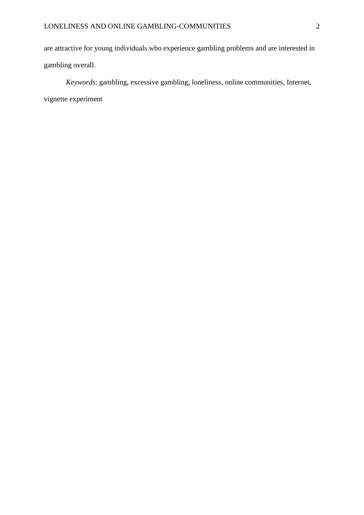are attractive for young individuals who experience gambling problems and are interested in gambling overall.

*Keywords*: gambling, excessive gambling, loneliness, online communities, Internet, vignette experiment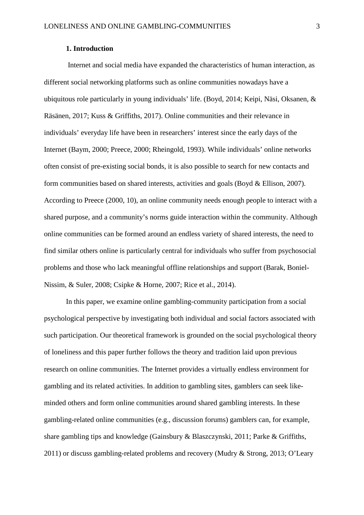#### **1. Introduction**

Internet and social media have expanded the characteristics of human interaction, as different social networking platforms such as online communities nowadays have a ubiquitous role particularly in young individuals' life. (Boyd, 2014; Keipi, Näsi, Oksanen, & Räsänen, 2017; Kuss & Griffiths, 2017). Online communities and their relevance in individuals' everyday life have been in researchers' interest since the early days of the Internet (Baym, 2000; Preece, 2000; Rheingold, 1993). While individuals' online networks often consist of pre-existing social bonds, it is also possible to search for new contacts and form communities based on shared interests, activities and goals (Boyd & Ellison, 2007). According to Preece (2000, 10), an online community needs enough people to interact with a shared purpose, and a community's norms guide interaction within the community. Although online communities can be formed around an endless variety of shared interests, the need to find similar others online is particularly central for individuals who suffer from psychosocial problems and those who lack meaningful offline relationships and support (Barak, Boniel-Nissim, & Suler, 2008; Csipke & Horne, 2007; Rice et al., 2014).

In this paper, we examine online gambling-community participation from a social psychological perspective by investigating both individual and social factors associated with such participation. Our theoretical framework is grounded on the social psychological theory of loneliness and this paper further follows the theory and tradition laid upon previous research on online communities. The Internet provides a virtually endless environment for gambling and its related activities. In addition to gambling sites, gamblers can seek likeminded others and form online communities around shared gambling interests. In these gambling-related online communities (e.g., discussion forums) gamblers can, for example, share gambling tips and knowledge (Gainsbury & Blaszczynski, 2011; Parke & Griffiths, 2011) or discuss gambling-related problems and recovery (Mudry & Strong, 2013; O'Leary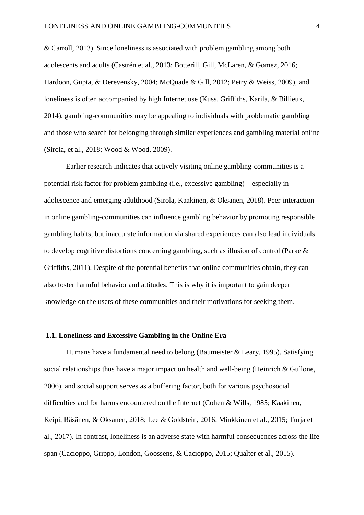& Carroll, 2013). Since loneliness is associated with problem gambling among both adolescents and adults (Castrén et al., 2013; Botterill, Gill, McLaren, & Gomez, 2016; Hardoon, Gupta, & Derevensky, 2004; McQuade & Gill, 2012; Petry & Weiss, 2009), and loneliness is often accompanied by high Internet use (Kuss, Griffiths, Karila, & Billieux, 2014), gambling-communities may be appealing to individuals with problematic gambling and those who search for belonging through similar experiences and gambling material online (Sirola, et al., 2018; Wood & Wood, 2009).

Earlier research indicates that actively visiting online gambling-communities is a potential risk factor for problem gambling (i.e., excessive gambling)—especially in adolescence and emerging adulthood (Sirola, Kaakinen, & Oksanen, 2018). Peer-interaction in online gambling-communities can influence gambling behavior by promoting responsible gambling habits, but inaccurate information via shared experiences can also lead individuals to develop cognitive distortions concerning gambling, such as illusion of control (Parke & Griffiths, 2011). Despite of the potential benefits that online communities obtain, they can also foster harmful behavior and attitudes. This is why it is important to gain deeper knowledge on the users of these communities and their motivations for seeking them.

#### **1.1. Loneliness and Excessive Gambling in the Online Era**

Humans have a fundamental need to belong (Baumeister & Leary, 1995). Satisfying social relationships thus have a major impact on health and well-being (Heinrich & Gullone, 2006), and social support serves as a buffering factor, both for various psychosocial difficulties and for harms encountered on the Internet (Cohen & Wills, 1985; Kaakinen, Keipi, Räsänen, & Oksanen, 2018; Lee & Goldstein, 2016; Minkkinen et al., 2015; Turja et al., 2017). In contrast, loneliness is an adverse state with harmful consequences across the life span (Cacioppo, Grippo, London, Goossens, & Cacioppo, 2015; Qualter et al., 2015).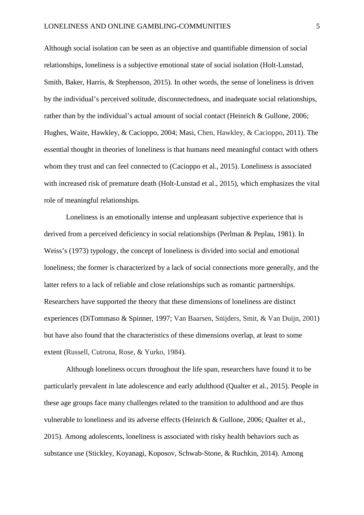Although social isolation can be seen as an objective and quantifiable dimension of social relationships, loneliness is a subjective emotional state of social isolation (Holt-Lunstad, Smith, Baker, Harris, & Stephenson, 2015). In other words, the sense of loneliness is driven by the individual's perceived solitude, disconnectedness, and inadequate social relationships, rather than by the individual's actual amount of social contact (Heinrich & Gullone, 2006; Hughes, Waite, Hawkley, & Cacioppo, 2004; Masi, Chen, Hawkley, & Cacioppo, 2011). The essential thought in theories of loneliness is that humans need meaningful contact with others whom they trust and can feel connected to (Cacioppo et al., 2015). Loneliness is associated with increased risk of premature death (Holt-Lunstad et al., 2015), which emphasizes the vital role of meaningful relationships.

Loneliness is an emotionally intense and unpleasant subjective experience that is derived from a perceived deficiency in social relationships (Perlman & Peplau, 1981). In Weiss's (1973) typology, the concept of loneliness is divided into social and emotional loneliness; the former is characterized by a lack of social connections more generally, and the latter refers to a lack of reliable and close relationships such as romantic partnerships. Researchers have supported the theory that these dimensions of loneliness are distinct experiences (DiTommaso & Spinner, 1997; Van Baarsen, Snijders, Smit, & Van Duijn, 2001) but have also found that the characteristics of these dimensions overlap, at least to some extent (Russell, Cutrona, Rose, & Yurko, 1984).

Although loneliness occurs throughout the life span, researchers have found it to be particularly prevalent in late adolescence and early adulthood (Qualter et al., 2015). People in these age groups face many challenges related to the transition to adulthood and are thus vulnerable to loneliness and its adverse effects (Heinrich & Gullone, 2006; Qualter et al., 2015). Among adolescents, loneliness is associated with risky health behaviors such as substance use (Stickley, Koyanagi, Koposov, Schwab-Stone, & Ruchkin, 2014). Among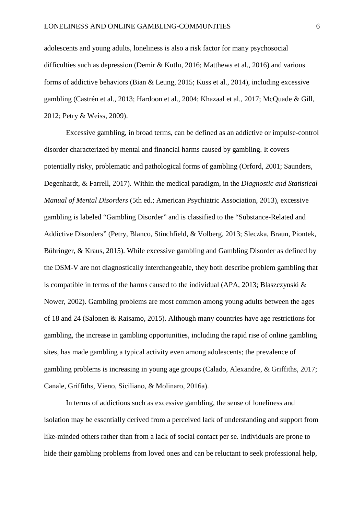adolescents and young adults, loneliness is also a risk factor for many psychosocial difficulties such as depression (Demir & Kutlu, 2016; Matthews et al., 2016) and various forms of addictive behaviors (Bian & Leung, 2015; Kuss et al., 2014), including excessive gambling (Castrén et al., 2013; Hardoon et al., 2004; Khazaal et al., 2017; McQuade & Gill, 2012; Petry & Weiss, 2009).

Excessive gambling, in broad terms, can be defined as an addictive or impulse-control disorder characterized by mental and financial harms caused by gambling. It covers potentially risky, problematic and pathological forms of gambling (Orford, 2001; Saunders, Degenhardt, & Farrell, 2017). Within the medical paradigm, in the *Diagnostic and Statistical Manual of Mental Disorders* (5th ed.; American Psychiatric Association, 2013), excessive gambling is labeled "Gambling Disorder" and is classified to the "Substance-Related and Addictive Disorders" (Petry, Blanco, Stinchfield, & Volberg, 2013; Sleczka, Braun, Piontek, Bühringer, & Kraus, 2015). While excessive gambling and Gambling Disorder as defined by the DSM-V are not diagnostically interchangeable, they both describe problem gambling that is compatible in terms of the harms caused to the individual (APA, 2013; Blaszczynski & Nower, 2002). Gambling problems are most common among young adults between the ages of 18 and 24 (Salonen & Raisamo, 2015). Although many countries have age restrictions for gambling, the increase in gambling opportunities, including the rapid rise of online gambling sites, has made gambling a typical activity even among adolescents; the prevalence of gambling problems is increasing in young age groups (Calado, Alexandre, & Griffiths, 2017; Canale, Griffiths, Vieno, Siciliano, & Molinaro, 2016a).

In terms of addictions such as excessive gambling, the sense of loneliness and isolation may be essentially derived from a perceived lack of understanding and support from like-minded others rather than from a lack of social contact per se. Individuals are prone to hide their gambling problems from loved ones and can be reluctant to seek professional help,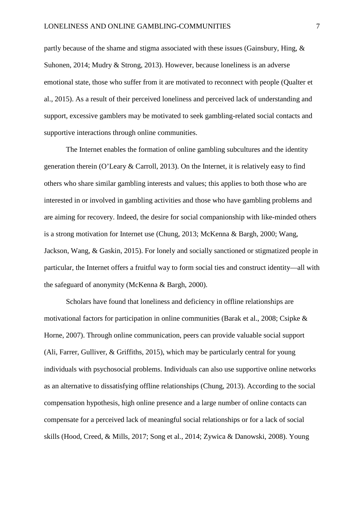partly because of the shame and stigma associated with these issues (Gainsbury, Hing, & Suhonen, 2014; Mudry & Strong, 2013). However, because loneliness is an adverse emotional state, those who suffer from it are motivated to reconnect with people (Qualter et al., 2015). As a result of their perceived loneliness and perceived lack of understanding and support, excessive gamblers may be motivated to seek gambling-related social contacts and supportive interactions through online communities.

The Internet enables the formation of online gambling subcultures and the identity generation therein (O'Leary & Carroll, 2013). On the Internet, it is relatively easy to find others who share similar gambling interests and values; this applies to both those who are interested in or involved in gambling activities and those who have gambling problems and are aiming for recovery. Indeed, the desire for social companionship with like-minded others is a strong motivation for Internet use (Chung, 2013; McKenna & Bargh, 2000; Wang, Jackson, Wang, & Gaskin, 2015). For lonely and socially sanctioned or stigmatized people in particular, the Internet offers a fruitful way to form social ties and construct identity—all with the safeguard of anonymity (McKenna & Bargh, 2000).

Scholars have found that loneliness and deficiency in offline relationships are motivational factors for participation in online communities (Barak et al., 2008; Csipke & Horne, 2007). Through online communication, peers can provide valuable social support (Ali, Farrer, Gulliver, & Griffiths, 2015), which may be particularly central for young individuals with psychosocial problems. Individuals can also use supportive online networks as an alternative to dissatisfying offline relationships (Chung, 2013). According to the social compensation hypothesis, high online presence and a large number of online contacts can compensate for a perceived lack of meaningful social relationships or for a lack of social skills (Hood, Creed, & Mills, 2017; Song et al., 2014; Zywica & Danowski, 2008). Young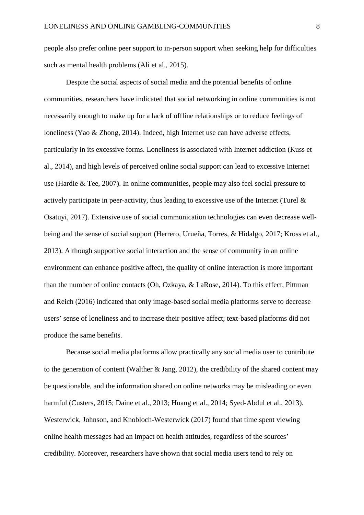people also prefer online peer support to in-person support when seeking help for difficulties such as mental health problems (Ali et al., 2015).

Despite the social aspects of social media and the potential benefits of online communities, researchers have indicated that social networking in online communities is not necessarily enough to make up for a lack of offline relationships or to reduce feelings of loneliness (Yao & Zhong, 2014). Indeed, high Internet use can have adverse effects, particularly in its excessive forms. Loneliness is associated with Internet addiction (Kuss et al., 2014), and high levels of perceived online social support can lead to excessive Internet use (Hardie & Tee, 2007). In online communities, people may also feel social pressure to actively participate in peer-activity, thus leading to excessive use of the Internet (Turel & Osatuyi, 2017). Extensive use of social communication technologies can even decrease wellbeing and the sense of social support (Herrero, Urueña, Torres, & Hidalgo, 2017; Kross et al., 2013). Although supportive social interaction and the sense of community in an online environment can enhance positive affect, the quality of online interaction is more important than the number of online contacts (Oh, Ozkaya, & LaRose, 2014). To this effect, Pittman and Reich (2016) indicated that only image-based social media platforms serve to decrease users' sense of loneliness and to increase their positive affect; text-based platforms did not produce the same benefits.

Because social media platforms allow practically any social media user to contribute to the generation of content (Walther & Jang, 2012), the credibility of the shared content may be questionable, and the information shared on online networks may be misleading or even harmful (Custers, 2015; Daine et al., 2013; Huang et al., 2014; Syed-Abdul et al., 2013). Westerwick, Johnson, and Knobloch-Westerwick (2017) found that time spent viewing online health messages had an impact on health attitudes, regardless of the sources' credibility. Moreover, researchers have shown that social media users tend to rely on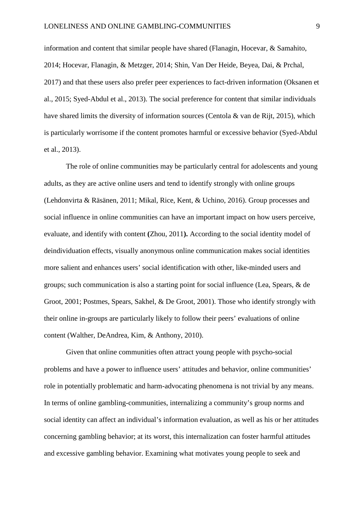information and content that similar people have shared (Flanagin, Hocevar, & Samahito, 2014; Hocevar, Flanagin, & Metzger, 2014; Shin, Van Der Heide, Beyea, Dai, & Prchal, 2017) and that these users also prefer peer experiences to fact-driven information (Oksanen et al., 2015; Syed-Abdul et al., 2013). The social preference for content that similar individuals have shared limits the diversity of information sources (Centola & van de Rijt, 2015), which is particularly worrisome if the content promotes harmful or excessive behavior (Syed-Abdul et al., 2013).

The role of online communities may be particularly central for adolescents and young adults, as they are active online users and tend to identify strongly with online groups (Lehdonvirta & Räsänen, 2011; Mikal, Rice, Kent, & Uchino, 2016). Group processes and social influence in online communities can have an important impact on how users perceive, evaluate, and identify with content **(**Zhou, 2011**).** According to the social identity model of deindividuation effects, visually anonymous online communication makes social identities more salient and enhances users' social identification with other, like-minded users and groups; such communication is also a starting point for social influence (Lea, Spears, & de Groot, 2001; Postmes, Spears, Sakhel, & De Groot, 2001). Those who identify strongly with their online in-groups are particularly likely to follow their peers' evaluations of online content (Walther, DeAndrea, Kim, & Anthony, 2010).

Given that online communities often attract young people with psycho-social problems and have a power to influence users' attitudes and behavior, online communities' role in potentially problematic and harm-advocating phenomena is not trivial by any means. In terms of online gambling-communities, internalizing a community's group norms and social identity can affect an individual's information evaluation, as well as his or her attitudes concerning gambling behavior; at its worst, this internalization can foster harmful attitudes and excessive gambling behavior. Examining what motivates young people to seek and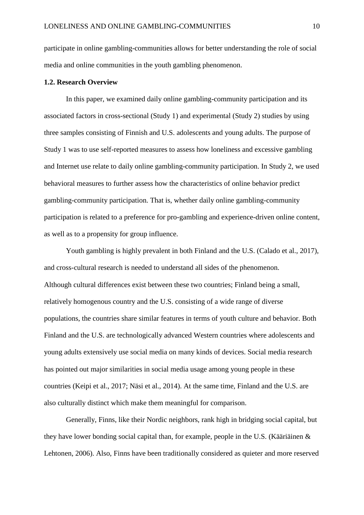participate in online gambling-communities allows for better understanding the role of social media and online communities in the youth gambling phenomenon.

#### **1.2. Research Overview**

In this paper, we examined daily online gambling-community participation and its associated factors in cross-sectional (Study 1) and experimental (Study 2) studies by using three samples consisting of Finnish and U.S. adolescents and young adults. The purpose of Study 1 was to use self-reported measures to assess how loneliness and excessive gambling and Internet use relate to daily online gambling-community participation. In Study 2, we used behavioral measures to further assess how the characteristics of online behavior predict gambling-community participation. That is, whether daily online gambling-community participation is related to a preference for pro-gambling and experience-driven online content, as well as to a propensity for group influence.

Youth gambling is highly prevalent in both Finland and the U.S. (Calado et al., 2017), and cross-cultural research is needed to understand all sides of the phenomenon. Although cultural differences exist between these two countries; Finland being a small, relatively homogenous country and the U.S. consisting of a wide range of diverse populations, the countries share similar features in terms of youth culture and behavior. Both Finland and the U.S. are technologically advanced Western countries where adolescents and young adults extensively use social media on many kinds of devices. Social media research has pointed out major similarities in social media usage among young people in these countries (Keipi et al., 2017; Näsi et al., 2014). At the same time, Finland and the U.S. are also culturally distinct which make them meaningful for comparison.

Generally, Finns, like their Nordic neighbors, rank high in bridging social capital, but they have lower bonding social capital than, for example, people in the U.S. (Kääriäinen & Lehtonen, 2006). Also, Finns have been traditionally considered as quieter and more reserved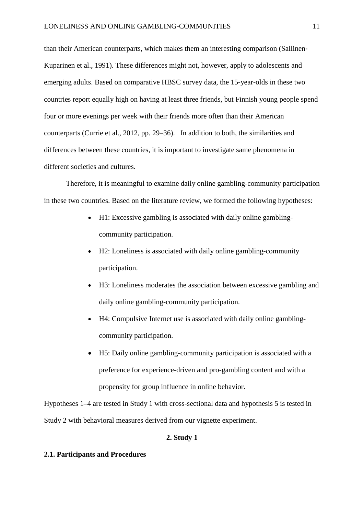than their American counterparts, which makes them an interesting comparison (Sallinen‐ Kuparinen et al., 1991). These differences might not, however, apply to adolescents and emerging adults. Based on comparative HBSC survey data, the 15-year-olds in these two countries report equally high on having at least three friends, but Finnish young people spend four or more evenings per week with their friends more often than their American counterparts (Currie et al., 2012, pp. 29–36). In addition to both, the similarities and differences between these countries, it is important to investigate same phenomena in different societies and cultures.

Therefore, it is meaningful to examine daily online gambling-community participation in these two countries. Based on the literature review, we formed the following hypotheses:

- H1: Excessive gambling is associated with daily online gamblingcommunity participation.
- H2: Loneliness is associated with daily online gambling-community participation.
- H3: Loneliness moderates the association between excessive gambling and daily online gambling-community participation.
- H4: Compulsive Internet use is associated with daily online gamblingcommunity participation.
- H5: Daily online gambling-community participation is associated with a preference for experience-driven and pro-gambling content and with a propensity for group influence in online behavior.

Hypotheses 1–4 are tested in Study 1 with cross-sectional data and hypothesis 5 is tested in Study 2 with behavioral measures derived from our vignette experiment.

## **2. Study 1**

#### **2.1. Participants and Procedures**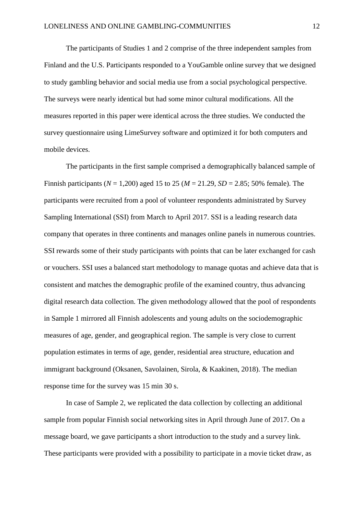The participants of Studies 1 and 2 comprise of the three independent samples from Finland and the U.S. Participants responded to a YouGamble online survey that we designed to study gambling behavior and social media use from a social psychological perspective. The surveys were nearly identical but had some minor cultural modifications. All the measures reported in this paper were identical across the three studies. We conducted the survey questionnaire using LimeSurvey software and optimized it for both computers and mobile devices.

The participants in the first sample comprised a demographically balanced sample of Finnish participants (*N* = 1,200) aged 15 to 25 (*M* = 21.29, *SD* = 2.85; 50% female). The participants were recruited from a pool of volunteer respondents administrated by Survey Sampling International (SSI) from March to April 2017. SSI is a leading research data company that operates in three continents and manages online panels in numerous countries. SSI rewards some of their study participants with points that can be later exchanged for cash or vouchers. SSI uses a balanced start methodology to manage quotas and achieve data that is consistent and matches the demographic profile of the examined country, thus advancing digital research data collection. The given methodology allowed that the pool of respondents in Sample 1 mirrored all Finnish adolescents and young adults on the sociodemographic measures of age, gender, and geographical region. The sample is very close to current population estimates in terms of age, gender, residential area structure, education and immigrant background (Oksanen, Savolainen, Sirola, & Kaakinen, 2018). The median response time for the survey was 15 min 30 s.

In case of Sample 2, we replicated the data collection by collecting an additional sample from popular Finnish social networking sites in April through June of 2017. On a message board, we gave participants a short introduction to the study and a survey link. These participants were provided with a possibility to participate in a movie ticket draw, as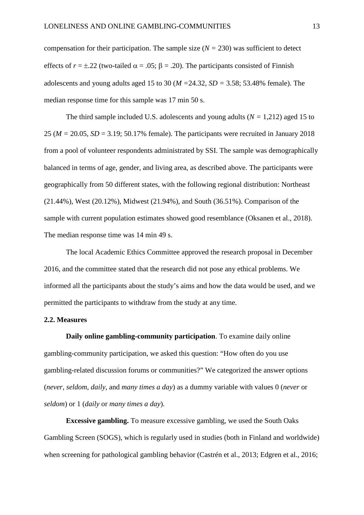compensation for their participation. The sample size  $(N = 230)$  was sufficient to detect effects of  $r = \pm 0.22$  (two-tailed  $\alpha = 0.05$ ;  $\beta = 0.20$ ). The participants consisted of Finnish adolescents and young adults aged 15 to 30 ( $M = 24.32$ ,  $SD = 3.58$ ; 53.48% female). The median response time for this sample was 17 min 50 s.

The third sample included U.S. adolescents and young adults ( $N = 1,212$ ) aged 15 to 25 (*M =* 20.05, *SD* = 3.19; 50.17% female). The participants were recruited in January 2018 from a pool of volunteer respondents administrated by SSI. The sample was demographically balanced in terms of age, gender, and living area, as described above. The participants were geographically from 50 different states, with the following regional distribution: Northeast (21.44%), West (20.12%), Midwest (21.94%), and South (36.51%). Comparison of the sample with current population estimates showed good resemblance (Oksanen et al., 2018). The median response time was 14 min 49 s.

The local Academic Ethics Committee approved the research proposal in December 2016, and the committee stated that the research did not pose any ethical problems. We informed all the participants about the study's aims and how the data would be used, and we permitted the participants to withdraw from the study at any time.

#### **2.2. Measures**

**Daily online gambling-community participation**. To examine daily online gambling-community participation, we asked this question: "How often do you use gambling-related discussion forums or communities?" We categorized the answer options (*never*, *seldom*, *daily*, and *many times a day*) as a dummy variable with values 0 (*never* or *seldom*) or 1 (*daily* or *many times a day*).

**Excessive gambling.** To measure excessive gambling, we used the South Oaks Gambling Screen (SOGS), which is regularly used in studies (both in Finland and worldwide) when screening for pathological gambling behavior (Castrén et al., 2013; Edgren et al., 2016;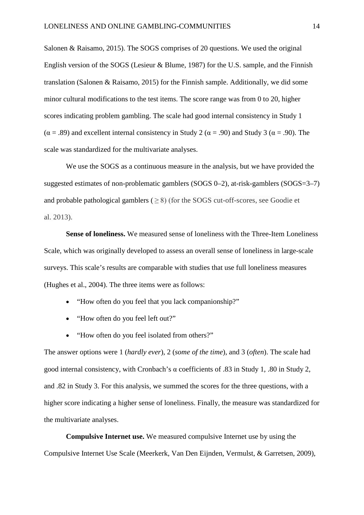Salonen & Raisamo, 2015). The SOGS comprises of 20 questions. We used the original English version of the SOGS (Lesieur & Blume, 1987) for the U.S. sample, and the Finnish translation (Salonen & Raisamo, 2015) for the Finnish sample. Additionally, we did some minor cultural modifications to the test items. The score range was from 0 to 20, higher scores indicating problem gambling. The scale had good internal consistency in Study 1  $(α = .89)$  and excellent internal consistency in Study 2 ( $α = .90$ ) and Study 3 ( $α = .90$ ). The scale was standardized for the multivariate analyses.

We use the SOGS as a continuous measure in the analysis, but we have provided the suggested estimates of non-problematic gamblers (SOGS 0–2), at-risk-gamblers (SOGS=3–7) and probable pathological gamblers ( ≥ 8) (for the SOGS cut-off-scores, see Goodie et al. 2013).

**Sense of loneliness.** We measured sense of loneliness with the Three-Item Loneliness Scale, which was originally developed to assess an overall sense of loneliness in large-scale surveys. This scale's results are comparable with studies that use full loneliness measures (Hughes et al., 2004). The three items were as follows:

- "How often do you feel that you lack companionship?"
- "How often do you feel left out?"
- "How often do you feel isolated from others?"

The answer options were 1 (*hardly ever*), 2 (*some of the time*), and 3 (*often*). The scale had good internal consistency, with Cronbach's  $\alpha$  coefficients of .83 in Study 1, .80 in Study 2, and .82 in Study 3. For this analysis, we summed the scores for the three questions, with a higher score indicating a higher sense of loneliness. Finally, the measure was standardized for the multivariate analyses.

**Compulsive Internet use.** We measured compulsive Internet use by using the Compulsive Internet Use Scale (Meerkerk, Van Den Eijnden, Vermulst, & Garretsen, 2009),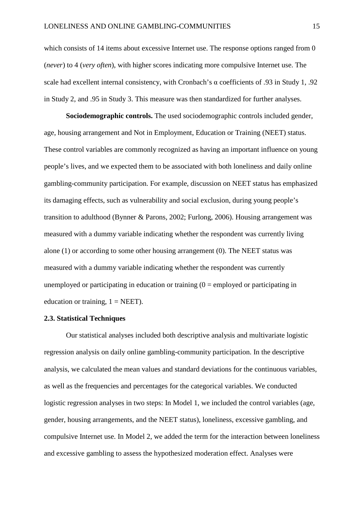which consists of 14 items about excessive Internet use. The response options ranged from 0 (*never*) to 4 (*very often*), with higher scores indicating more compulsive Internet use. The scale had excellent internal consistency, with Cronbach's α coefficients of .93 in Study 1, .92 in Study 2, and .95 in Study 3. This measure was then standardized for further analyses.

**Sociodemographic controls.** The used sociodemographic controls included gender, age, housing arrangement and Not in Employment, Education or Training (NEET) status. These control variables are commonly recognized as having an important influence on young people's lives, and we expected them to be associated with both loneliness and daily online gambling-community participation. For example, discussion on NEET status has emphasized its damaging effects, such as vulnerability and social exclusion, during young people's transition to adulthood (Bynner & Parons, 2002; Furlong, 2006). Housing arrangement was measured with a dummy variable indicating whether the respondent was currently living alone (1) or according to some other housing arrangement (0). The NEET status was measured with a dummy variable indicating whether the respondent was currently unemployed or participating in education or training  $(0 = \text{employed or participating in})$ education or training,  $1 = NEET$ ).

### **2.3. Statistical Techniques**

Our statistical analyses included both descriptive analysis and multivariate logistic regression analysis on daily online gambling-community participation. In the descriptive analysis, we calculated the mean values and standard deviations for the continuous variables, as well as the frequencies and percentages for the categorical variables. We conducted logistic regression analyses in two steps: In Model 1, we included the control variables (age, gender, housing arrangements, and the NEET status), loneliness, excessive gambling, and compulsive Internet use. In Model 2, we added the term for the interaction between loneliness and excessive gambling to assess the hypothesized moderation effect. Analyses were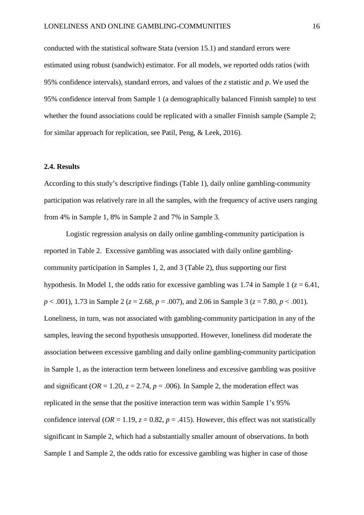conducted with the statistical software Stata (version 15.1) and standard errors were estimated using robust (sandwich) estimator. For all models, we reported odds ratios (with 95% confidence intervals), standard errors, and values of the *z* statistic and *p*. We used the 95% confidence interval from Sample 1 (a demographically balanced Finnish sample) to test whether the found associations could be replicated with a smaller Finnish sample (Sample 2; for similar approach for replication, see Patil, Peng, & Leek, 2016).

#### **2.4. Results**

According to this study's descriptive findings (Table 1), daily online gambling-community participation was relatively rare in all the samples, with the frequency of active users ranging from 4% in Sample 1, 8% in Sample 2 and 7% in Sample 3.

Logistic regression analysis on daily online gambling-community participation is reported in Table 2. Excessive gambling was associated with daily online gamblingcommunity participation in Samples 1, 2, and 3 (Table 2), thus supporting our first hypothesis. In Model 1, the odds ratio for excessive gambling was 1.74 in Sample 1 ( $z = 6.41$ , *p* < .001), 1.73 in Sample 2 (*z* = 2.68, *p* = .007), and 2.06 in Sample 3 (*z* = 7.80, *p* < .001). Loneliness, in turn, was not associated with gambling-community participation in any of the samples, leaving the second hypothesis unsupported. However, loneliness did moderate the association between excessive gambling and daily online gambling-community participation in Sample 1, as the interaction term between loneliness and excessive gambling was positive and significant ( $OR = 1.20$ ,  $z = 2.74$ ,  $p = .006$ ). In Sample 2, the moderation effect was replicated in the sense that the positive interaction term was within Sample 1's 95% confidence interval ( $OR = 1.19$ ,  $z = 0.82$ ,  $p = .415$ ). However, this effect was not statistically significant in Sample 2, which had a substantially smaller amount of observations. In both Sample 1 and Sample 2, the odds ratio for excessive gambling was higher in case of those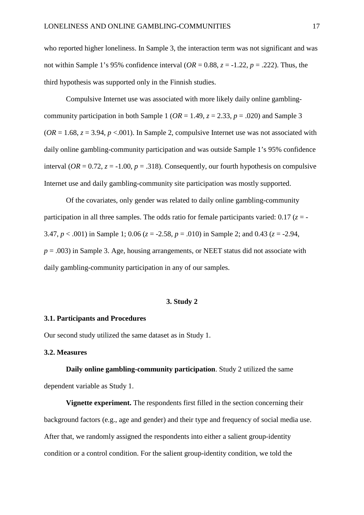who reported higher loneliness. In Sample 3, the interaction term was not significant and was not within Sample 1's 95% confidence interval  $OR = 0.88$ ,  $z = -1.22$ ,  $p = .222$ ). Thus, the third hypothesis was supported only in the Finnish studies.

Compulsive Internet use was associated with more likely daily online gamblingcommunity participation in both Sample 1 ( $OR = 1.49$ ,  $z = 2.33$ ,  $p = .020$ ) and Sample 3  $(OR = 1.68, z = 3.94, p < .001)$ . In Sample 2, compulsive Internet use was not associated with daily online gambling-community participation and was outside Sample 1's 95% confidence interval ( $OR = 0.72$ ,  $z = -1.00$ ,  $p = .318$ ). Consequently, our fourth hypothesis on compulsive Internet use and daily gambling-community site participation was mostly supported.

Of the covariates, only gender was related to daily online gambling-community participation in all three samples. The odds ratio for female participants varied:  $0.17$  ( $z = -$ 3.47, *p* < .001) in Sample 1; 0.06 (*z* = -2.58, *p* = .010) in Sample 2; and 0.43 (*z* = -2.94,  $p = .003$ ) in Sample 3. Age, housing arrangements, or NEET status did not associate with daily gambling-community participation in any of our samples.

## **3. Study 2**

### **3.1. Participants and Procedures**

Our second study utilized the same dataset as in Study 1.

### **3.2. Measures**

**Daily online gambling-community participation**. Study 2 utilized the same dependent variable as Study 1.

**Vignette experiment.** The respondents first filled in the section concerning their background factors (e.g., age and gender) and their type and frequency of social media use. After that, we randomly assigned the respondents into either a salient group-identity condition or a control condition. For the salient group-identity condition, we told the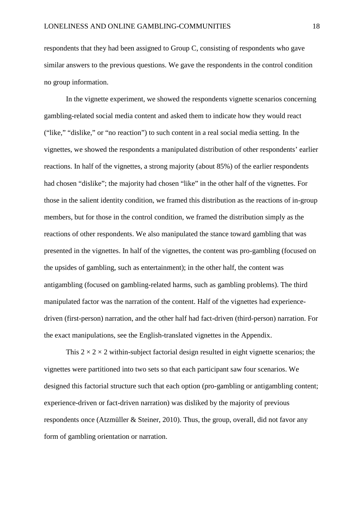respondents that they had been assigned to Group C, consisting of respondents who gave similar answers to the previous questions. We gave the respondents in the control condition no group information.

In the vignette experiment, we showed the respondents vignette scenarios concerning gambling-related social media content and asked them to indicate how they would react ("like," "dislike," or "no reaction") to such content in a real social media setting. In the vignettes, we showed the respondents a manipulated distribution of other respondents' earlier reactions. In half of the vignettes, a strong majority (about 85%) of the earlier respondents had chosen "dislike"; the majority had chosen "like" in the other half of the vignettes. For those in the salient identity condition, we framed this distribution as the reactions of in-group members, but for those in the control condition, we framed the distribution simply as the reactions of other respondents. We also manipulated the stance toward gambling that was presented in the vignettes. In half of the vignettes, the content was pro-gambling (focused on the upsides of gambling, such as entertainment); in the other half, the content was antigambling (focused on gambling-related harms, such as gambling problems). The third manipulated factor was the narration of the content. Half of the vignettes had experiencedriven (first-person) narration, and the other half had fact-driven (third-person) narration. For the exact manipulations, see the English-translated vignettes in the Appendix.

This  $2 \times 2 \times 2$  within-subject factorial design resulted in eight vignette scenarios; the vignettes were partitioned into two sets so that each participant saw four scenarios. We designed this factorial structure such that each option (pro-gambling or antigambling content; experience-driven or fact-driven narration) was disliked by the majority of previous respondents once (Atzmüller & Steiner, 2010). Thus, the group, overall, did not favor any form of gambling orientation or narration.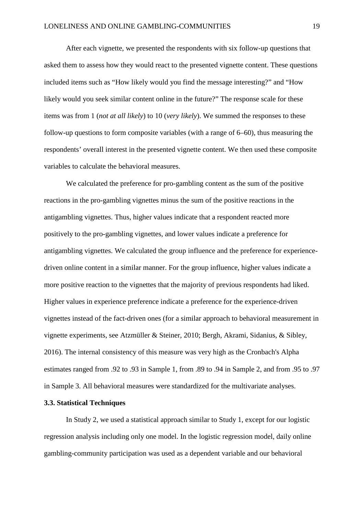After each vignette, we presented the respondents with six follow-up questions that asked them to assess how they would react to the presented vignette content. These questions included items such as "How likely would you find the message interesting?" and "How likely would you seek similar content online in the future?" The response scale for these items was from 1 (*not at all likely*) to 10 (*very likely*). We summed the responses to these follow-up questions to form composite variables (with a range of 6–60), thus measuring the respondents' overall interest in the presented vignette content. We then used these composite variables to calculate the behavioral measures.

We calculated the preference for pro-gambling content as the sum of the positive reactions in the pro-gambling vignettes minus the sum of the positive reactions in the antigambling vignettes. Thus, higher values indicate that a respondent reacted more positively to the pro-gambling vignettes, and lower values indicate a preference for antigambling vignettes. We calculated the group influence and the preference for experiencedriven online content in a similar manner. For the group influence, higher values indicate a more positive reaction to the vignettes that the majority of previous respondents had liked. Higher values in experience preference indicate a preference for the experience-driven vignettes instead of the fact-driven ones (for a similar approach to behavioral measurement in vignette experiments, see Atzmüller & Steiner, 2010; Bergh, Akrami, Sidanius, & Sibley, 2016). The internal consistency of this measure was very high as the Cronbach's Alpha estimates ranged from .92 to .93 in Sample 1, from .89 to .94 in Sample 2, and from .95 to .97 in Sample 3. All behavioral measures were standardized for the multivariate analyses.

## **3.3. Statistical Techniques**

In Study 2, we used a statistical approach similar to Study 1, except for our logistic regression analysis including only one model. In the logistic regression model, daily online gambling-community participation was used as a dependent variable and our behavioral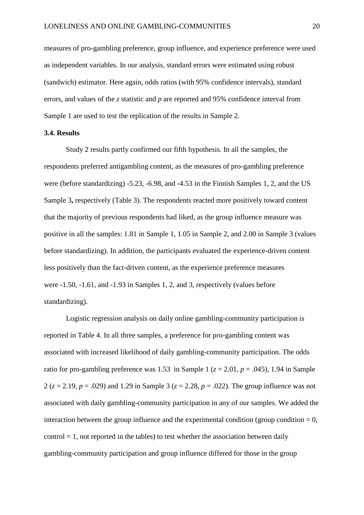measures of pro-gambling preference, group influence, and experience preference were used as independent variables. In our analysis, standard errors were estimated using robust (sandwich) estimator. Here again, odds ratios (with 95% confidence intervals), standard errors, and values of the *z* statistic and *p* are reported and 95% confidence interval from Sample 1 are used to test the replication of the results in Sample 2.

### **3.4. Results**

Study 2 results partly confirmed our fifth hypothesis. In all the samples, the respondents preferred antigambling content, as the measures of pro-gambling preference were (before standardizing) -5.23, -6.98, and -4.53 in the Finnish Samples 1, 2, and the US Sample 3**,** respectively (Table 3). The respondents reacted more positively toward content that the majority of previous respondents had liked, as the group influence measure was positive in all the samples: 1.81 in Sample 1, 1.05 in Sample 2, and 2.00 in Sample 3 (values before standardizing). In addition, the participants evaluated the experience-driven content less positively than the fact-driven content, as the experience preference measures were -1.50, -1.61, and -1.93 in Samples 1, 2, and 3, respectively (values before standardizing).

Logistic regression analysis on daily online gambling-community participation is reported in Table 4. In all three samples, a preference for pro-gambling content was associated with increased likelihood of daily gambling-community participation. The odds ratio for pro-gambling preference was 1.53 in Sample 1 ( $z = 2.01$ ,  $p = .045$ ), 1.94 in Sample 2 ( $\zeta$  = 2.19,  $p = .029$ ) and 1.29 in Sample 3 ( $\zeta$  = 2.28,  $p = .022$ ). The group influence was not associated with daily gambling-community participation in any of our samples. We added the interaction between the group influence and the experimental condition (group condition  $= 0$ ,  $control = 1$ , not reported in the tables) to test whether the association between daily gambling-community participation and group influence differed for those in the group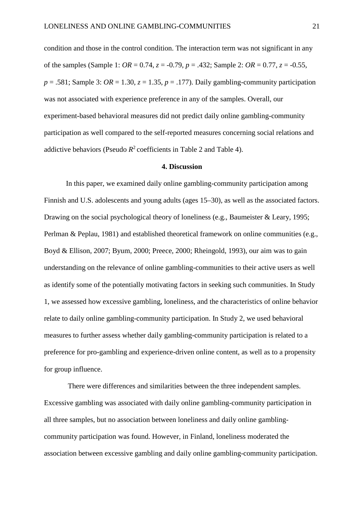condition and those in the control condition. The interaction term was not significant in any of the samples (Sample 1: *OR* = 0.74, *z* = -0.79, *p* = .432; Sample 2: *OR* = 0.77, *z* = -0.55,  $p = .581$ ; Sample 3:  $OR = 1.30$ ,  $z = 1.35$ ,  $p = .177$ ). Daily gambling-community participation was not associated with experience preference in any of the samples. Overall, our experiment-based behavioral measures did not predict daily online gambling-community participation as well compared to the self-reported measures concerning social relations and addictive behaviors (Pseudo  $R^2$  coefficients in Table 2 and Table 4).

#### **4. Discussion**

In this paper, we examined daily online gambling-community participation among Finnish and U.S. adolescents and young adults (ages 15–30), as well as the associated factors. Drawing on the social psychological theory of loneliness (e.g., Baumeister & Leary, 1995; Perlman & Peplau, 1981) and established theoretical framework on online communities (e.g., Boyd & Ellison, 2007; Byum, 2000; Preece, 2000; Rheingold, 1993), our aim was to gain understanding on the relevance of online gambling-communities to their active users as well as identify some of the potentially motivating factors in seeking such communities. In Study 1, we assessed how excessive gambling, loneliness, and the characteristics of online behavior relate to daily online gambling-community participation. In Study 2, we used behavioral measures to further assess whether daily gambling-community participation is related to a preference for pro-gambling and experience-driven online content, as well as to a propensity for group influence.

There were differences and similarities between the three independent samples. Excessive gambling was associated with daily online gambling-community participation in all three samples, but no association between loneliness and daily online gamblingcommunity participation was found. However, in Finland, loneliness moderated the association between excessive gambling and daily online gambling-community participation.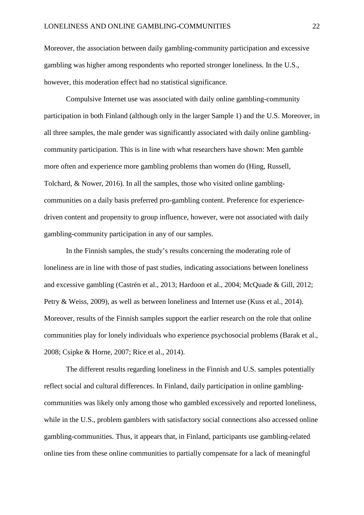Moreover, the association between daily gambling-community participation and excessive gambling was higher among respondents who reported stronger loneliness. In the U.S., however, this moderation effect had no statistical significance.

Compulsive Internet use was associated with daily online gambling-community participation in both Finland (although only in the larger Sample 1) and the U.S. Moreover, in all three samples, the male gender was significantly associated with daily online gamblingcommunity participation. This is in line with what researchers have shown: Men gamble more often and experience more gambling problems than women do (Hing, Russell, Tolchard, & Nower, 2016). In all the samples, those who visited online gamblingcommunities on a daily basis preferred pro-gambling content. Preference for experiencedriven content and propensity to group influence, however, were not associated with daily gambling-community participation in any of our samples.

In the Finnish samples, the study's results concerning the moderating role of loneliness are in line with those of past studies, indicating associations between loneliness and excessive gambling (Castrén et al., 2013; Hardoon et al., 2004; McQuade & Gill, 2012; Petry & Weiss, 2009), as well as between loneliness and Internet use (Kuss et al., 2014). Moreover, results of the Finnish samples support the earlier research on the role that online communities play for lonely individuals who experience psychosocial problems (Barak et al., 2008; Csipke & Horne, 2007; Rice et al., 2014).

The different results regarding loneliness in the Finnish and U.S. samples potentially reflect social and cultural differences. In Finland, daily participation in online gamblingcommunities was likely only among those who gambled excessively and reported loneliness, while in the U.S., problem gamblers with satisfactory social connections also accessed online gambling-communities. Thus, it appears that, in Finland, participants use gambling-related online ties from these online communities to partially compensate for a lack of meaningful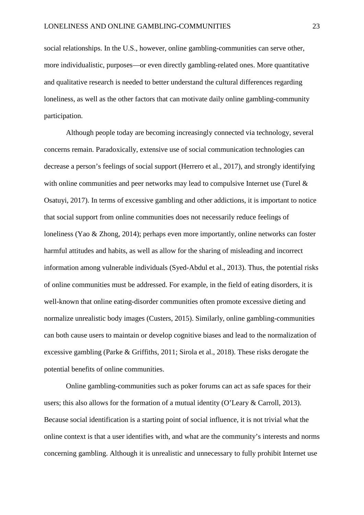social relationships. In the U.S., however, online gambling-communities can serve other, more individualistic, purposes—or even directly gambling-related ones. More quantitative and qualitative research is needed to better understand the cultural differences regarding loneliness, as well as the other factors that can motivate daily online gambling-community participation.

Although people today are becoming increasingly connected via technology, several concerns remain. Paradoxically, extensive use of social communication technologies can decrease a person's feelings of social support (Herrero et al., 2017), and strongly identifying with online communities and peer networks may lead to compulsive Internet use (Turel & Osatuyi, 2017). In terms of excessive gambling and other addictions, it is important to notice that social support from online communities does not necessarily reduce feelings of loneliness (Yao & Zhong, 2014); perhaps even more importantly, online networks can foster harmful attitudes and habits, as well as allow for the sharing of misleading and incorrect information among vulnerable individuals (Syed-Abdul et al., 2013). Thus, the potential risks of online communities must be addressed. For example, in the field of eating disorders, it is well-known that online eating-disorder communities often promote excessive dieting and normalize unrealistic body images (Custers, 2015). Similarly, online gambling-communities can both cause users to maintain or develop cognitive biases and lead to the normalization of excessive gambling (Parke & Griffiths, 2011; Sirola et al., 2018). These risks derogate the potential benefits of online communities.

Online gambling-communities such as poker forums can act as safe spaces for their users; this also allows for the formation of a mutual identity (O'Leary & Carroll, 2013). Because social identification is a starting point of social influence, it is not trivial what the online context is that a user identifies with, and what are the community's interests and norms concerning gambling. Although it is unrealistic and unnecessary to fully prohibit Internet use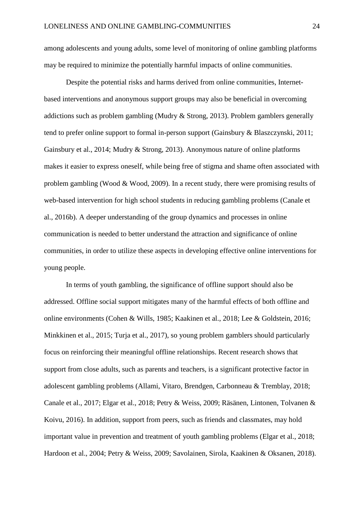among adolescents and young adults, some level of monitoring of online gambling platforms may be required to minimize the potentially harmful impacts of online communities.

Despite the potential risks and harms derived from online communities, Internetbased interventions and anonymous support groups may also be beneficial in overcoming addictions such as problem gambling (Mudry & Strong, 2013). Problem gamblers generally tend to prefer online support to formal in-person support (Gainsbury & Blaszczynski, 2011; Gainsbury et al., 2014; Mudry & Strong, 2013). Anonymous nature of online platforms makes it easier to express oneself, while being free of stigma and shame often associated with problem gambling (Wood & Wood, 2009). In a recent study, there were promising results of web-based intervention for high school students in reducing gambling problems (Canale et al., 2016b). A deeper understanding of the group dynamics and processes in online communication is needed to better understand the attraction and significance of online communities, in order to utilize these aspects in developing effective online interventions for young people.

In terms of youth gambling, the significance of offline support should also be addressed. Offline social support mitigates many of the harmful effects of both offline and online environments (Cohen & Wills, 1985; Kaakinen et al., 2018; Lee & Goldstein, 2016; Minkkinen et al., 2015; Turja et al., 2017), so young problem gamblers should particularly focus on reinforcing their meaningful offline relationships. Recent research shows that support from close adults, such as parents and teachers, is a significant protective factor in adolescent gambling problems (Allami, Vitaro, Brendgen, Carbonneau & Tremblay, 2018; Canale et al., 2017; Elgar et al., 2018; Petry & Weiss, 2009; Räsänen, Lintonen, Tolvanen & Koivu, 2016). In addition, support from peers, such as friends and classmates, may hold important value in prevention and treatment of youth gambling problems (Elgar et al., 2018; Hardoon et al., 2004; Petry & Weiss, 2009; Savolainen, Sirola, Kaakinen & Oksanen, 2018).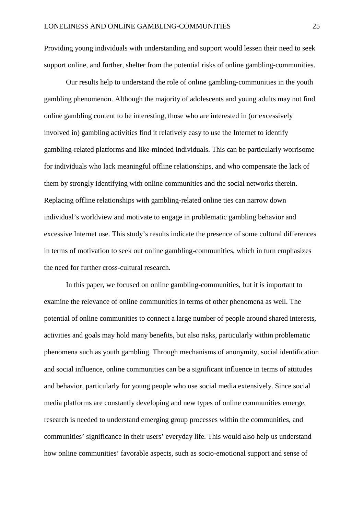Providing young individuals with understanding and support would lessen their need to seek support online, and further, shelter from the potential risks of online gambling-communities.

Our results help to understand the role of online gambling-communities in the youth gambling phenomenon. Although the majority of adolescents and young adults may not find online gambling content to be interesting, those who are interested in (or excessively involved in) gambling activities find it relatively easy to use the Internet to identify gambling-related platforms and like-minded individuals. This can be particularly worrisome for individuals who lack meaningful offline relationships, and who compensate the lack of them by strongly identifying with online communities and the social networks therein. Replacing offline relationships with gambling-related online ties can narrow down individual's worldview and motivate to engage in problematic gambling behavior and excessive Internet use. This study's results indicate the presence of some cultural differences in terms of motivation to seek out online gambling-communities, which in turn emphasizes the need for further cross-cultural research.

In this paper, we focused on online gambling-communities, but it is important to examine the relevance of online communities in terms of other phenomena as well. The potential of online communities to connect a large number of people around shared interests, activities and goals may hold many benefits, but also risks, particularly within problematic phenomena such as youth gambling. Through mechanisms of anonymity, social identification and social influence, online communities can be a significant influence in terms of attitudes and behavior, particularly for young people who use social media extensively. Since social media platforms are constantly developing and new types of online communities emerge, research is needed to understand emerging group processes within the communities, and communities' significance in their users' everyday life. This would also help us understand how online communities' favorable aspects, such as socio-emotional support and sense of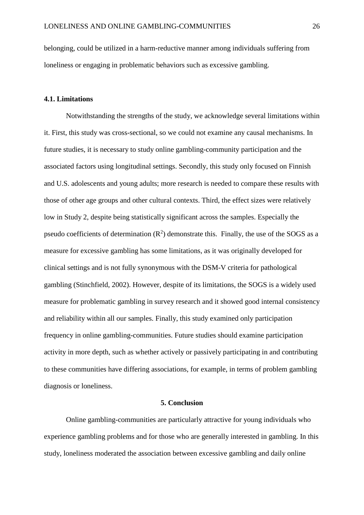belonging, could be utilized in a harm-reductive manner among individuals suffering from loneliness or engaging in problematic behaviors such as excessive gambling.

## **4.1. Limitations**

Notwithstanding the strengths of the study, we acknowledge several limitations within it. First, this study was cross-sectional, so we could not examine any causal mechanisms. In future studies, it is necessary to study online gambling-community participation and the associated factors using longitudinal settings. Secondly, this study only focused on Finnish and U.S. adolescents and young adults; more research is needed to compare these results with those of other age groups and other cultural contexts. Third, the effect sizes were relatively low in Study 2, despite being statistically significant across the samples. Especially the pseudo coefficients of determination  $(R^2)$  demonstrate this. Finally, the use of the SOGS as a measure for excessive gambling has some limitations, as it was originally developed for clinical settings and is not fully synonymous with the DSM-V criteria for pathological gambling (Stinchfield, 2002). However, despite of its limitations, the SOGS is a widely used measure for problematic gambling in survey research and it showed good internal consistency and reliability within all our samples. Finally, this study examined only participation frequency in online gambling-communities. Future studies should examine participation activity in more depth, such as whether actively or passively participating in and contributing to these communities have differing associations, for example, in terms of problem gambling diagnosis or loneliness.

#### **5. Conclusion**

Online gambling-communities are particularly attractive for young individuals who experience gambling problems and for those who are generally interested in gambling. In this study, loneliness moderated the association between excessive gambling and daily online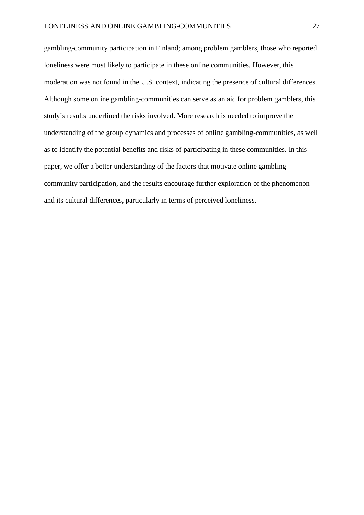gambling-community participation in Finland; among problem gamblers, those who reported loneliness were most likely to participate in these online communities. However, this moderation was not found in the U.S. context, indicating the presence of cultural differences. Although some online gambling-communities can serve as an aid for problem gamblers, this study's results underlined the risks involved. More research is needed to improve the understanding of the group dynamics and processes of online gambling-communities, as well as to identify the potential benefits and risks of participating in these communities. In this paper, we offer a better understanding of the factors that motivate online gamblingcommunity participation, and the results encourage further exploration of the phenomenon and its cultural differences, particularly in terms of perceived loneliness.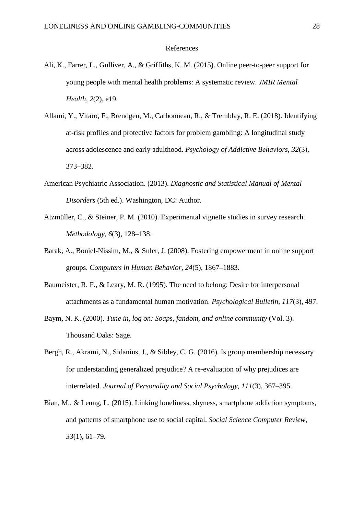#### References

- Ali, K., Farrer, L., Gulliver, A., & Griffiths, K. M. (2015). Online peer-to-peer support for young people with mental health problems: A systematic review. *JMIR Mental Health*, *2*(2), e19.
- Allami, Y., Vitaro, F., Brendgen, M., Carbonneau, R., & Tremblay, R. E. (2018). Identifying at-risk profiles and protective factors for problem gambling: A longitudinal study across adolescence and early adulthood. *Psychology of Addictive Behaviors, 32*(3), 373–382.
- American Psychiatric Association. (2013). *Diagnostic and Statistical Manual of Mental Disorders* (5th ed.). Washington, DC: Author.
- Atzmüller, C., & Steiner, P. M. (2010). Experimental vignette studies in survey research. *Methodology*, *6*(3), 128–138.
- Barak, A., Boniel-Nissim, M., & Suler, J. (2008). Fostering empowerment in online support groups. *Computers in Human Behavior*, *24*(5), 1867–1883.
- Baumeister, R. F., & Leary, M. R. (1995). The need to belong: Desire for interpersonal attachments as a fundamental human motivation. *Psychological Bulletin*, *117*(3), 497.
- Baym, N. K. (2000). *Tune in, log on: Soaps, fandom, and online community* (Vol. 3). Thousand Oaks: Sage.
- Bergh, R., Akrami, N., Sidanius, J., & Sibley, C. G. (2016). Is group membership necessary for understanding generalized prejudice? A re-evaluation of why prejudices are interrelated. *Journal of Personality and Social Psychology*, *111*(3), 367–395.
- Bian, M., & Leung, L. (2015). Linking loneliness, shyness, smartphone addiction symptoms, and patterns of smartphone use to social capital. *Social Science Computer Review*, *33*(1), 61–79.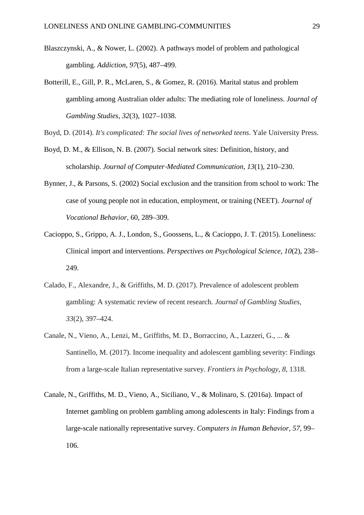- Blaszczynski, A., & Nower, L. (2002). A pathways model of problem and pathological gambling. *Addiction*, *97*(5), 487–499.
- Botterill, E., Gill, P. R., McLaren, S., & Gomez, R. (2016). Marital status and problem gambling among Australian older adults: The mediating role of loneliness. *Journal of Gambling Studies*, *32*(3), 1027–1038.
- Boyd, D. (2014). *It's complicated: The social lives of networked teens*. Yale University Press.
- Boyd, D. M., & Ellison, N. B. (2007). Social network sites: Definition, history, and scholarship. *Journal of Computer*‐*Mediated Communication*, *13*(1), 210–230.
- Bynner, J., & Parsons, S. (2002) Social exclusion and the transition from school to work: The case of young people not in education, employment, or training (NEET). *Journal of Vocational Behavior,* 60, 289–309.
- Cacioppo, S., Grippo, A. J., London, S., Goossens, L., & Cacioppo, J. T. (2015). Loneliness: Clinical import and interventions. *Perspectives on Psychological Science*, *10*(2), 238– 249.
- Calado, F., Alexandre, J., & Griffiths, M. D. (2017). Prevalence of adolescent problem gambling: A systematic review of recent research. *Journal of Gambling Studies*, *33*(2), 397–424.
- Canale, N., Vieno, A., Lenzi, M., Griffiths, M. D., Borraccino, A., Lazzeri, G., ... & Santinello, M. (2017). Income inequality and adolescent gambling severity: Findings from a large-scale Italian representative survey. *Frontiers in Psychology*, *8*, 1318.
- Canale, N., Griffiths, M. D., Vieno, A., Siciliano, V., & Molinaro, S. (2016a). Impact of Internet gambling on problem gambling among adolescents in Italy: Findings from a large-scale nationally representative survey. *Computers in Human Behavior*, *57*, 99– 106.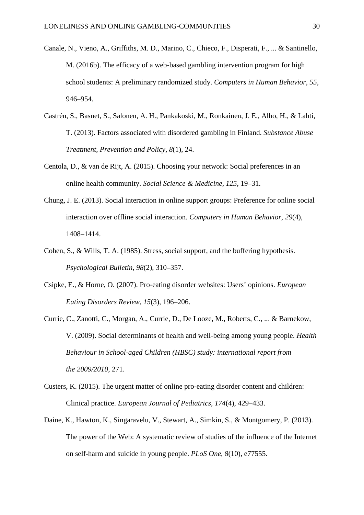- Canale, N., Vieno, A., Griffiths, M. D., Marino, C., Chieco, F., Disperati, F., ... & Santinello, M. (2016b). The efficacy of a web-based gambling intervention program for high school students: A preliminary randomized study. *Computers in Human Behavior*, *55*, 946–954.
- Castrén, S., Basnet, S., Salonen, A. H., Pankakoski, M., Ronkainen, J. E., Alho, H., & Lahti, T. (2013). Factors associated with disordered gambling in Finland. *Substance Abuse Treatment, Prevention and Policy*, *8*(1), 24.
- Centola, D., & van de Rijt, A. (2015). Choosing your network: Social preferences in an online health community. *Social Science & Medicine*, *125*, 19–31.
- Chung, J. E. (2013). Social interaction in online support groups: Preference for online social interaction over offline social interaction. *Computers in Human Behavior*, *29*(4), 1408–1414.
- Cohen, S., & Wills, T. A. (1985). Stress, social support, and the buffering hypothesis. *Psychological Bulletin*, *98*(2), 310–357.
- Csipke, E., & Horne, O. (2007). Pro‐eating disorder websites: Users' opinions. *European Eating Disorders Review*, *15*(3), 196–206.
- Currie, C., Zanotti, C., Morgan, A., Currie, D., De Looze, M., Roberts, C., ... & Barnekow, V. (2009). Social determinants of health and well-being among young people. *Health Behaviour in School-aged Children (HBSC) study: international report from the 2009/2010*, 271.
- Custers, K. (2015). The urgent matter of online pro-eating disorder content and children: Clinical practice. *European Journal of Pediatrics*, *174*(4), 429–433.
- Daine, K., Hawton, K., Singaravelu, V., Stewart, A., Simkin, S., & Montgomery, P. (2013). The power of the Web: A systematic review of studies of the influence of the Internet on self-harm and suicide in young people. *PLoS One*, *8*(10), e77555.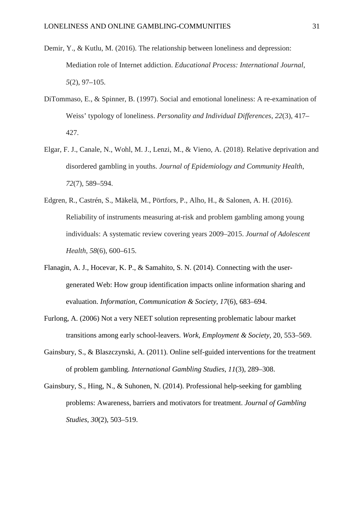- Demir, Y., & Kutlu, M. (2016). The relationship between loneliness and depression: Mediation role of Internet addiction. *Educational Process: International Journal*, *5*(2), 97–105.
- DiTommaso, E., & Spinner, B. (1997). Social and emotional loneliness: A re-examination of Weiss' typology of loneliness. *Personality and Individual Differences*, *22*(3), 417– 427.
- Elgar, F. J., Canale, N., Wohl, M. J., Lenzi, M., & Vieno, A. (2018). Relative deprivation and disordered gambling in youths. *Journal of Epidemiology and Community Health*, *72*(7), 589–594.
- Edgren, R., Castrén, S., Mäkelä, M., Pörtfors, P., Alho, H., & Salonen, A. H. (2016). Reliability of instruments measuring at-risk and problem gambling among young individuals: A systematic review covering years 2009–2015. *Journal of Adolescent Health*, *58*(6), 600–615.
- Flanagin, A. J., Hocevar, K. P., & Samahito, S. N. (2014). Connecting with the usergenerated Web: How group identification impacts online information sharing and evaluation. *Information, Communication & Society*, *17*(6), 683–694.
- Furlong, A. (2006) Not a very NEET solution representing problematic labour market transitions among early school-leavers. *Work, Employment & Society,* 20, 553–569.
- Gainsbury, S., & Blaszczynski, A. (2011). Online self-guided interventions for the treatment of problem gambling. *International Gambling Studies*, *11*(3), 289–308.
- Gainsbury, S., Hing, N., & Suhonen, N. (2014). Professional help-seeking for gambling problems: Awareness, barriers and motivators for treatment. *Journal of Gambling Studies*, *30*(2), 503–519.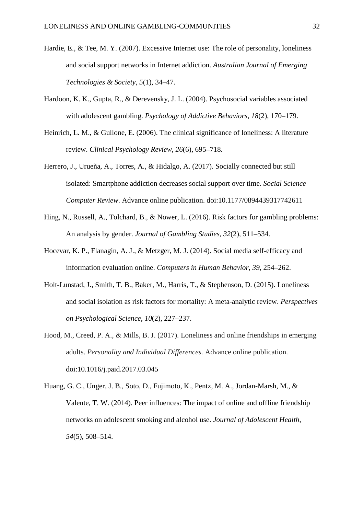- Hardie, E., & Tee, M. Y. (2007). Excessive Internet use: The role of personality, loneliness and social support networks in Internet addiction. *Australian Journal of Emerging Technologies & Society*, *5*(1), 34–47.
- Hardoon, K. K., Gupta, R., & Derevensky, J. L. (2004). Psychosocial variables associated with adolescent gambling. *Psychology of Addictive Behaviors*, *18*(2), 170–179.
- Heinrich, L. M., & Gullone, E. (2006). The clinical significance of loneliness: A literature review. *Clinical Psychology Review*, *26*(6), 695–718.
- Herrero, J., Urueña, A., Torres, A., & Hidalgo, A. (2017). Socially connected but still isolated: Smartphone addiction decreases social support over time. *Social Science Computer Review*. Advance online publication. doi:10.1177/0894439317742611
- Hing, N., Russell, A., Tolchard, B., & Nower, L. (2016). Risk factors for gambling problems: An analysis by gender. *Journal of Gambling Studies*, *32*(2), 511–534.
- Hocevar, K. P., Flanagin, A. J., & Metzger, M. J. (2014). Social media self-efficacy and information evaluation online. *Computers in Human Behavior*, *39*, 254–262.
- Holt-Lunstad, J., Smith, T. B., Baker, M., Harris, T., & Stephenson, D. (2015). Loneliness and social isolation as risk factors for mortality: A meta-analytic review. *Perspectives on Psychological Science*, *10*(2), 227–237.
- Hood, M., Creed, P. A., & Mills, B. J. (2017). Loneliness and online friendships in emerging adults. *Personality and Individual Differences.* Advance online publication. doi:10.1016/j.paid.2017.03.045
- Huang, G. C., Unger, J. B., Soto, D., Fujimoto, K., Pentz, M. A., Jordan-Marsh, M., & Valente, T. W. (2014). Peer influences: The impact of online and offline friendship networks on adolescent smoking and alcohol use. *Journal of Adolescent Health*, *54*(5), 508–514.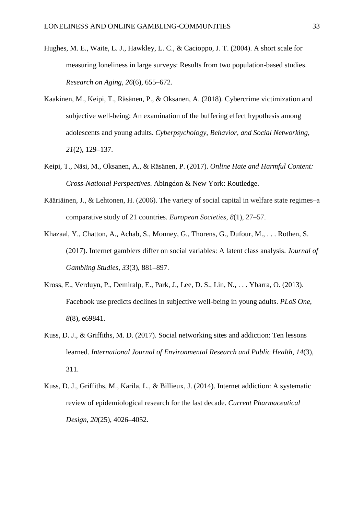- Hughes, M. E., Waite, L. J., Hawkley, L. C., & Cacioppo, J. T. (2004). A short scale for measuring loneliness in large surveys: Results from two population-based studies. *Research on Aging*, *26*(6), 655–672.
- Kaakinen, M., Keipi, T., Räsänen, P., & Oksanen, A. (2018). Cybercrime victimization and subjective well-being: An examination of the buffering effect hypothesis among adolescents and young adults. *Cyberpsychology, Behavior, and Social Networking*, *21*(2), 129–137.
- Keipi, T., Näsi, M., Oksanen, A., & Räsänen, P. (2017). *Online Hate and Harmful Content: Cross-National Perspectives*. Abingdon & New York: Routledge.
- Kääriäinen, J., & Lehtonen, H. (2006). The variety of social capital in welfare state regimes–a comparative study of 21 countries. *European Societies*, *8*(1), 27–57.
- Khazaal, Y., Chatton, A., Achab, S., Monney, G., Thorens, G., Dufour, M., . . . Rothen, S. (2017). Internet gamblers differ on social variables: A latent class analysis. *Journal of Gambling Studies*, *33*(3), 881–897.
- Kross, E., Verduyn, P., Demiralp, E., Park, J., Lee, D. S., Lin, N., . . . Ybarra, O. (2013). Facebook use predicts declines in subjective well-being in young adults. *PLoS One*, *8*(8), e69841.
- Kuss, D. J., & Griffiths, M. D. (2017). Social networking sites and addiction: Ten lessons learned. *International Journal of Environmental Research and Public Health*, *14*(3), 311.
- Kuss, D. J., Griffiths, M., Karila, L., & Billieux, J. (2014). Internet addiction: A systematic review of epidemiological research for the last decade. *Current Pharmaceutical Design*, *20*(25), 4026–4052.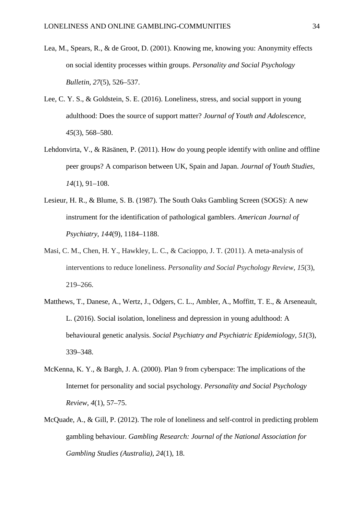- Lea, M., Spears, R., & de Groot, D. (2001). Knowing me, knowing you: Anonymity effects on social identity processes within groups. *Personality and Social Psychology Bulletin*, *27*(5), 526–537.
- Lee, C. Y. S., & Goldstein, S. E. (2016). Loneliness, stress, and social support in young adulthood: Does the source of support matter? *Journal of Youth and Adolescence*, *45*(3), 568–580.
- Lehdonvirta, V., & Räsänen, P. (2011). How do young people identify with online and offline peer groups? A comparison between UK, Spain and Japan. *Journal of Youth Studies*, *14*(1), 91–108.
- Lesieur, H. R., & Blume, S. B. (1987). The South Oaks Gambling Screen (SOGS): A new instrument for the identification of pathological gamblers. *American Journal of Psychiatry*, *144*(9), 1184–1188.
- Masi, C. M., Chen, H. Y., Hawkley, L. C., & Cacioppo, J. T. (2011). A meta-analysis of interventions to reduce loneliness. *Personality and Social Psychology Review*, *15*(3), 219–266.
- Matthews, T., Danese, A., Wertz, J., Odgers, C. L., Ambler, A., Moffitt, T. E., & Arseneault, L. (2016). Social isolation, loneliness and depression in young adulthood: A behavioural genetic analysis. *Social Psychiatry and Psychiatric Epidemiology*, *51*(3), 339–348.
- McKenna, K. Y., & Bargh, J. A. (2000). Plan 9 from cyberspace: The implications of the Internet for personality and social psychology. *Personality and Social Psychology Review*, *4*(1), 57–75.
- McQuade, A., & Gill, P. (2012). The role of loneliness and self-control in predicting problem gambling behaviour. *Gambling Research: Journal of the National Association for Gambling Studies (Australia)*, *24*(1), 18.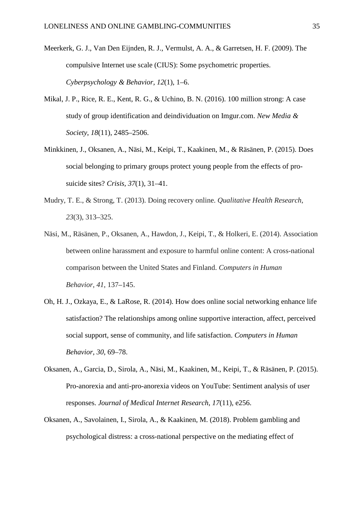- Meerkerk, G. J., Van Den Eijnden, R. J., Vermulst, A. A., & Garretsen, H. F. (2009). The compulsive Internet use scale (CIUS): Some psychometric properties. *Cyberpsychology & Behavior*, *12*(1), 1–6.
- Mikal, J. P., Rice, R. E., Kent, R. G., & Uchino, B. N. (2016). 100 million strong: A case study of group identification and deindividuation on Imgur.com. *New Media & Society*, *18*(11), 2485–2506.
- Minkkinen, J., Oksanen, A., Näsi, M., Keipi, T., Kaakinen, M., & Räsänen, P. (2015). Does social belonging to primary groups protect young people from the effects of prosuicide sites? *Crisis, 37*(1), 31–41.
- Mudry, T. E., & Strong, T. (2013). Doing recovery online. *Qualitative Health Research*, *23*(3), 313–325.
- Näsi, M., Räsänen, P., Oksanen, A., Hawdon, J., Keipi, T., & Holkeri, E. (2014). Association between online harassment and exposure to harmful online content: A cross-national comparison between the United States and Finland. *Computers in Human Behavior*, *41*, 137–145.
- Oh, H. J., Ozkaya, E., & LaRose, R. (2014). How does online social networking enhance life satisfaction? The relationships among online supportive interaction, affect, perceived social support, sense of community, and life satisfaction. *Computers in Human Behavior*, *30*, 69–78.
- Oksanen, A., Garcia, D., Sirola, A., Näsi, M., Kaakinen, M., Keipi, T., & Räsänen, P. (2015). Pro-anorexia and anti-pro-anorexia videos on YouTube: Sentiment analysis of user responses. *Journal of Medical Internet Research*, *17*(11), e256.
- Oksanen, A., Savolainen, I., Sirola, A., & Kaakinen, M. (2018). Problem gambling and psychological distress: a cross-national perspective on the mediating effect of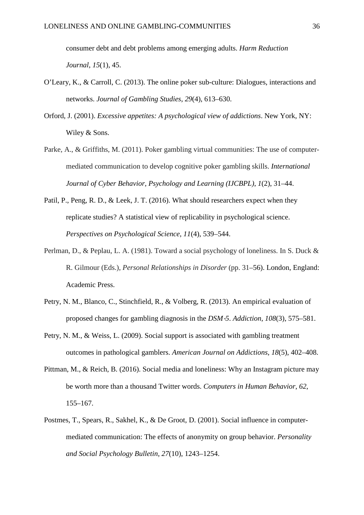consumer debt and debt problems among emerging adults. *Harm Reduction Journal*, *15*(1), 45.

- O'Leary, K., & Carroll, C. (2013). The online poker sub-culture: Dialogues, interactions and networks. *Journal of Gambling Studies*, *29*(4), 613–630.
- Orford, J. (2001). *Excessive appetites: A psychological view of addictions*. New York, NY: Wiley & Sons.
- Parke, A., & Griffiths, M. (2011). Poker gambling virtual communities: The use of computermediated communication to develop cognitive poker gambling skills. *International Journal of Cyber Behavior, Psychology and Learning (IJCBPL)*, *1*(2), 31–44.
- Patil, P., Peng, R. D., & Leek, J. T. (2016). What should researchers expect when they replicate studies? A statistical view of replicability in psychological science. *Perspectives on Psychological Science*, *11*(4), 539–544.
- Perlman, D., & Peplau, L. A. (1981). Toward a social psychology of loneliness. In S. Duck & R. Gilmour (Eds.), *Personal Relationships in Disorder* (pp. 31–56). London, England: Academic Press.
- Petry, N. M., Blanco, C., Stinchfield, R., & Volberg, R. (2013). An empirical evaluation of proposed changes for gambling diagnosis in the *DSM*‐*5*. *Addiction*, *108*(3), 575–581.
- Petry, N. M., & Weiss, L. (2009). Social support is associated with gambling treatment outcomes in pathological gamblers. *American Journal on Addictions*, *18*(5), 402–408.
- Pittman, M., & Reich, B. (2016). Social media and loneliness: Why an Instagram picture may be worth more than a thousand Twitter words. *Computers in Human Behavior*, *62*, 155–167.
- Postmes, T., Spears, R., Sakhel, K., & De Groot, D. (2001). Social influence in computermediated communication: The effects of anonymity on group behavior. *Personality and Social Psychology Bulletin*, *27*(10), 1243–1254.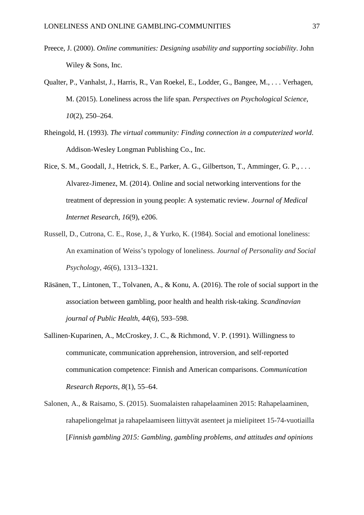- Preece, J. (2000). *Online communities: Designing usability and supporting sociability*. John Wiley & Sons, Inc.
- Qualter, P., Vanhalst, J., Harris, R., Van Roekel, E., Lodder, G., Bangee, M., . . . Verhagen, M. (2015). Loneliness across the life span. *Perspectives on Psychological Science*, *10*(2), 250–264.
- Rheingold, H. (1993). *The virtual community: Finding connection in a computerized world*. Addison-Wesley Longman Publishing Co., Inc.
- Rice, S. M., Goodall, J., Hetrick, S. E., Parker, A. G., Gilbertson, T., Amminger, G. P., . . . Alvarez-Jimenez, M. (2014). Online and social networking interventions for the treatment of depression in young people: A systematic review. *Journal of Medical Internet Research*, *16*(9), e206.
- Russell, D., Cutrona, C. E., Rose, J., & Yurko, K. (1984). Social and emotional loneliness: An examination of Weiss's typology of loneliness. *Journal of Personality and Social Psychology*, *46*(6), 1313–1321.
- Räsänen, T., Lintonen, T., Tolvanen, A., & Konu, A. (2016). The role of social support in the association between gambling, poor health and health risk-taking. *Scandinavian journal of Public Health*, *44*(6), 593–598.
- Sallinen‐Kuparinen, A., McCroskey, J. C., & Richmond, V. P. (1991). Willingness to communicate, communication apprehension, introversion, and self‐reported communication competence: Finnish and American comparisons. *Communication Research Reports*, *8*(1), 55–64.
- Salonen, A., & Raisamo, S. (2015). Suomalaisten rahapelaaminen 2015: Rahapelaaminen, rahapeliongelmat ja rahapelaamiseen liittyvät asenteet ja mielipiteet 15-74-vuotiailla [*Finnish gambling 2015: Gambling, gambling problems, and attitudes and opinions*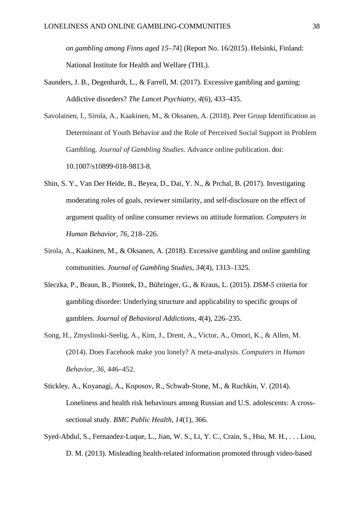*on gambling among Finns aged 15–74*] (Report No. 16/2015). Helsinki, Finland: National Institute for Health and Welfare (THL).

Saunders, J. B., Degenhardt, L., & Farrell, M. (2017). Excessive gambling and gaming: Addictive disorders? *The Lancet Psychiatry*, *4*(6), 433–435.

Savolainen, I., Sirola, A., Kaakinen, M., & Oksanen, A. (2018). Peer Group Identification as Determinant of Youth Behavior and the Role of Perceived Social Support in Problem Gambling. *Journal of Gambling Studies*. Advance online publication. doi: 10.1007/s10899-018-9813-8.

- Shin, S. Y., Van Der Heide, B., Beyea, D., Dai, Y. N., & Prchal, B. (2017). Investigating moderating roles of goals, reviewer similarity, and self-disclosure on the effect of argument quality of online consumer reviews on attitude formation. *Computers in Human Behavior*, *76*, 218–226.
- Sirola, A., Kaakinen, M., & Oksanen, A. (2018). Excessive gambling and online gambling communities. *Journal of Gambling Studies, 34*(4), 1313–1325.
- Sleczka, P., Braun, B., Piontek, D., Bühringer, G., & Kraus, L. (2015). *DSM-5* criteria for gambling disorder: Underlying structure and applicability to specific groups of gamblers. *Journal of Behavioral Addictions*, *4*(4), 226–235.
- Song, H., Zmyslinski-Seelig, A., Kim, J., Drent, A., Victor, A., Omori, K., & Allen, M. (2014). Does Facebook make you lonely? A meta-analysis. *Computers in Human Behavior*, *36*, 446–452.
- Stickley, A., Koyanagi, A., Koposov, R., Schwab-Stone, M., & Ruchkin, V. (2014). Loneliness and health risk behaviours among Russian and U.S. adolescents: A crosssectional study. *BMC Public Health*, *14*(1), 366.
- Syed-Abdul, S., Fernandez-Luque, L., Jian, W. S., Li, Y. C., Crain, S., Hsu, M. H., . . . Liou, D. M. (2013). Misleading health-related information promoted through video-based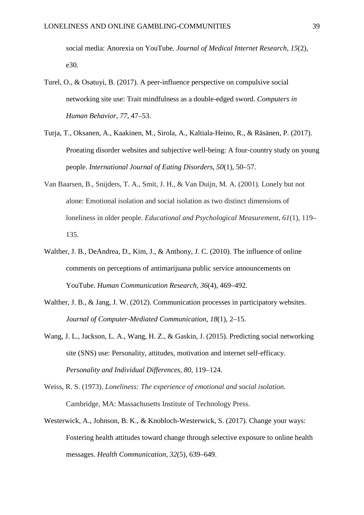social media: Anorexia on YouTube. *Journal of Medical Internet Research*, *15*(2), e30.

- Turel, O., & Osatuyi, B. (2017). A peer-influence perspective on compulsive social networking site use: Trait mindfulness as a double-edged sword. *Computers in Human Behavior*, *77*, 47–53.
- Turja, T., Oksanen, A., Kaakinen, M., Sirola, A., Kaltiala‐Heino, R., & Räsänen, P. (2017). Proeating disorder websites and subjective well‐being: A four‐country study on young people. *International Journal of Eating Disorders*, *50*(1), 50–57.
- Van Baarsen, B., Snijders, T. A., Smit, J. H., & Van Duijn, M. A. (2001). Lonely but not alone: Emotional isolation and social isolation as two distinct dimensions of loneliness in older people. *Educational and Psychological Measurement*, *61*(1), 119– 135.
- Walther, J. B., DeAndrea, D., Kim, J., & Anthony, J. C. (2010). The influence of online comments on perceptions of antimarijuana public service announcements on YouTube. *Human Communication Research*, *36*(4), 469–492.
- Walther, J. B., & Jang, J. W. (2012). Communication processes in participatory websites. *Journal of Computer*‐*Mediated Communication*, *18*(1), 2–15.
- Wang, J. L., Jackson, L. A., Wang, H. Z., & Gaskin, J. (2015). Predicting social networking site (SNS) use: Personality, attitudes, motivation and internet self-efficacy. *Personality and Individual Differences*, *80*, 119–124.
- Weiss, R. S. (1973). *Loneliness: The experience of emotional and social isolation*. Cambridge, MA: Massachusetts Institute of Technology Press.
- Westerwick, A., Johnson, B. K., & Knobloch-Westerwick, S. (2017). Change your ways: Fostering health attitudes toward change through selective exposure to online health messages. *Health Communication*, *32*(5), 639–649.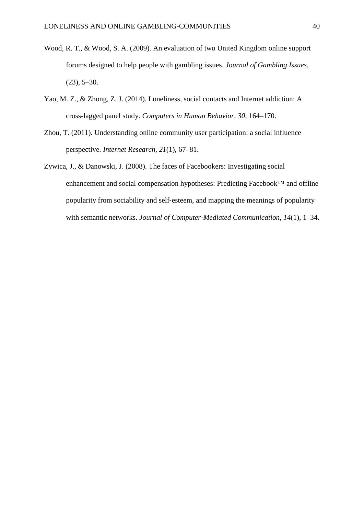- Wood, R. T., & Wood, S. A. (2009). An evaluation of two United Kingdom online support forums designed to help people with gambling issues. *Journal of Gambling Issues*,  $(23)$ , 5–30.
- Yao, M. Z., & Zhong, Z. J. (2014). Loneliness, social contacts and Internet addiction: A cross-lagged panel study. *Computers in Human Behavior*, *30*, 164–170.
- Zhou, T. (2011). Understanding online community user participation: a social influence perspective. *Internet Research*, *21*(1), 67–81.
- Zywica, J., & Danowski, J. (2008). The faces of Facebookers: Investigating social enhancement and social compensation hypotheses: Predicting Facebook™ and offline popularity from sociability and self‐esteem, and mapping the meanings of popularity with semantic networks. *Journal of Computer-Mediated Communication*,  $14(1)$ , 1–34.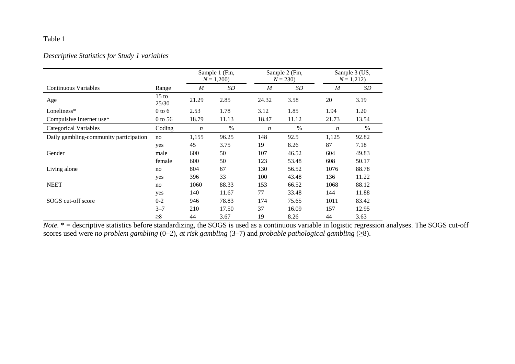## *Descriptive Statistics for Study 1 variables*

|                                        |                          |                  | Sample 1 (Fin,<br>$N = 1,200$ |                  | Sample 2 (Fin,<br>$N = 230$ | Sample 3 (US,<br>$N = 1,212$ |       |  |
|----------------------------------------|--------------------------|------------------|-------------------------------|------------------|-----------------------------|------------------------------|-------|--|
| <b>Continuous Variables</b>            | Range                    | $\boldsymbol{M}$ | SD                            | $\boldsymbol{M}$ | SD                          | $\boldsymbol{M}$             | SD    |  |
| Age                                    | $15 \text{ to}$<br>25/30 | 21.29            | 2.85                          | 24.32            | 3.58                        | 20                           | 3.19  |  |
| Loneliness*                            | $0$ to $6$               | 2.53             | 1.78                          | 3.12             | 1.85                        | 1.94                         | 1.20  |  |
| Compulsive Internet use*               | 0 to 56                  | 18.79            | 11.13                         | 18.47            | 11.12                       | 21.73                        | 13.54 |  |
| <b>Categorical Variables</b>           | Coding                   | $\boldsymbol{n}$ | $\%$                          | $\boldsymbol{n}$ | $\%$                        | $\boldsymbol{n}$             | $\%$  |  |
| Daily gambling-community participation | no                       | 1,155            | 96.25                         | 148              | 92.5                        | 1,125                        | 92.82 |  |
|                                        | yes                      | 45               | 3.75                          | 19               | 8.26                        | 87                           | 7.18  |  |
| Gender                                 | male                     | 600              | 50                            | 107              | 46.52                       | 604                          | 49.83 |  |
|                                        | female                   | 600              | 50                            | 123              | 53.48                       | 608                          | 50.17 |  |
| Living alone                           | no                       | 804              | 67                            | 130              | 56.52                       | 1076                         | 88.78 |  |
|                                        | yes                      | 396              | 33                            | 100              | 43.48                       | 136                          | 11.22 |  |
| <b>NEET</b>                            | no                       | 1060             | 88.33                         | 153              | 66.52                       | 1068                         | 88.12 |  |
|                                        | yes                      | 140              | 11.67                         | 77               | 33.48                       | 144                          | 11.88 |  |
| SOGS cut-off score                     | $0 - 2$                  | 946              | 78.83                         | 174              | 75.65                       | 1011                         | 83.42 |  |
|                                        | $3 - 7$                  | 210              | 17.50                         | 37               | 16.09                       | 157                          | 12.95 |  |
|                                        | $\geq 8$                 | 44               | 3.67                          | 19               | 8.26                        | 44                           | 3.63  |  |

*Note.* \* = descriptive statistics before standardizing, the SOGS is used as a continuous variable in logistic regression analyses. The SOGS cut-off scores used were *no problem gambling* (0–2), *at risk gambling* (3–7) and *probable pathological gambling* (≥8).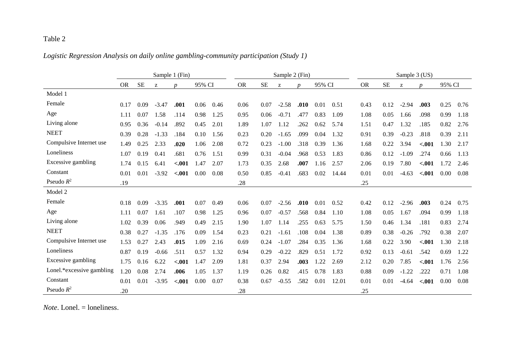*Logistic Regression Analysis on daily online gambling-community participation (Study 1)*

|                           | Sample 1 (Fin) |           |         |              |        |      | Sample 3 (US) |           |         |                  |        |       |           |           |                                                       |                  |        |      |
|---------------------------|----------------|-----------|---------|--------------|--------|------|---------------|-----------|---------|------------------|--------|-------|-----------|-----------|-------------------------------------------------------|------------------|--------|------|
|                           | <b>OR</b>      | <b>SE</b> | z       | <sub>n</sub> | 95% CI |      | <b>OR</b>     | <b>SE</b> | Z       | $\boldsymbol{v}$ | 95% CI |       | <b>OR</b> | <b>SE</b> | $\mathbf{Z}% ^{T}=\mathbf{Z}^{T}\times\mathbf{Z}^{T}$ | $\boldsymbol{v}$ | 95% CI |      |
| Model 1                   |                |           |         |              |        |      |               |           |         |                  |        |       |           |           |                                                       |                  |        |      |
| Female                    | 0.17           | 0.09      | $-3.47$ | .001         | 0.06   | 0.46 | 0.06          | 0.07      | $-2.58$ | .010             | 0.01   | 0.51  | 0.43      | 0.12      | $-2.94$                                               | .003             | 0.25   | 0.76 |
| Age                       | 1.11           | 0.07      | 1.58    | .114         | 0.98   | 1.25 | 0.95          | 0.06      | $-0.71$ | .477             | 0.83   | 1.09  | 1.08      | 0.05      | 1.66                                                  | .098             | 0.99   | 1.18 |
| Living alone              | 0.95           | 0.36      | $-0.14$ | .892         | 0.45   | 2.01 | 1.89          | 1.07      | 1.12    | .262             | 0.62   | 5.74  | 1.51      | 0.47      | 1.32                                                  | .185             | 0.82   | 2.76 |
| <b>NEET</b>               | 0.39           | 0.28      | $-1.33$ | .184         | 0.10   | 1.56 | 0.23          | 0.20      | $-1.65$ | .099             | 0.04   | 1.32  | 0.91      | 0.39      | $-0.23$                                               | .818             | 0.39   | 2.11 |
| Compulsive Internet use   | 1.49           | 0.25      | 2.33    | .020         | 1.06   | 2.08 | 0.72          | 0.23      | $-1.00$ | .318             | 0.39   | 1.36  | 1.68      | 0.22      | 3.94                                                  | $-.001$          | 1.30   | 2.17 |
| Loneliness                | 1.07           | 0.19      | 0.41    | .681         | 0.76   | 1.51 | 0.99          | 0.31      | $-0.04$ | .968             | 0.53   | 1.83  | 0.86      | 0.12      | $-1.09$                                               | .274             | 0.66   | 1.13 |
| Excessive gambling        | 1.74           | 0.15      | 6.41    | $-.001$      | 1.47   | 2.07 | 1.73          | 0.35      | 2.68    | .007             | 1.16   | 2.57  | 2.06      | 0.19      | 7.80                                                  | $-.001$          | 1.72   | 2.46 |
| Constant                  | 0.01           | 0.01      | $-3.92$ | $-.001$      | 0.00   | 0.08 | 0.50          | 0.85      | $-0.41$ | .683             | 0.02   | 14.44 | 0.01      | 0.01      | $-4.63$                                               | $-.001$          | 0.00   | 0.08 |
| Pseudo $R^2$              | .19            |           |         |              |        |      | .28           |           |         |                  |        |       | .25       |           |                                                       |                  |        |      |
| Model 2                   |                |           |         |              |        |      |               |           |         |                  |        |       |           |           |                                                       |                  |        |      |
| Female                    | 0.18           | 0.09      | $-3.35$ | .001         | 0.07   | 0.49 | 0.06          | 0.07      | $-2.56$ | .010             | 0.01   | 0.52  | 0.42      | 0.12      | $-2.96$                                               | .003             | 0.24   | 0.75 |
| Age                       | 1.11           | 0.07      | 1.61    | .107         | 0.98   | 1.25 | 0.96          | 0.07      | $-0.57$ | .568             | 0.84   | 1.10  | 1.08      | 0.05      | 1.67                                                  | .094             | 0.99   | 1.18 |
| Living alone              | 1.02           | 0.39      | 0.06    | .949         | 0.49   | 2.15 | 1.90          | 1.07      | 1.14    | .255             | 0.63   | 5.75  | 1.50      | 0.46      | 1.34                                                  | .181             | 0.83   | 2.74 |
| <b>NEET</b>               | 0.38           | 0.27      | $-1.35$ | .176         | 0.09   | 1.54 | 0.23          | 0.21      | $-1.61$ | .108             | 0.04   | 1.38  | 0.89      | 0.38      | $-0.26$                                               | .792             | 0.38   | 2.07 |
| Compulsive Internet use   | 1.53           | 0.27      | 2.43    | .015         | 1.09   | 2.16 | 0.69          | 0.24      | $-1.07$ | .284             | 0.35   | 1.36  | 1.68      | 0.22      | 3.90                                                  | $-.001$          | 1.30   | 2.18 |
| Loneliness                | 0.87           | 0.19      | $-0.66$ | .511         | 0.57   | 1.32 | 0.94          | 0.29      | $-0.22$ | .829             | 0.51   | 1.72  | 0.92      | 0.13      | $-0.61$                                               | .542             | 0.69   | 1.22 |
| Excessive gambling        | 1.75           | 0.16      | 6.22    | $-.001$      | 1.47   | 2.09 | 1.81          | 0.37      | 2.94    | .003             | 1.22   | 2.69  | 2.12      | 0.20      | 7.85                                                  | $-.001$          | 1.76   | 2.56 |
| Lonel.*excessive gambling | 1.20           | 0.08      | 2.74    | .006         | 1.05   | 1.37 | 1.19          | 0.26      | 0.82    | .415             | 0.78   | 1.83  | 0.88      | 0.09      | $-1.22$                                               | .222             | 0.71   | 1.08 |
| Constant                  | 0.01           | 0.01      | $-3.95$ | $-.001$      | 0.00   | 0.07 | 0.38          | 0.67      | $-0.55$ | .582             | 0.01   | 12.01 | 0.01      | 0.01      | $-4.64$                                               | $-.001$          | 0.00   | 0.08 |
| Pseudo $R^2$              | .20            |           |         |              |        |      | .28           |           |         |                  |        |       | .25       |           |                                                       |                  |        |      |

*Note*. Lonel. = loneliness.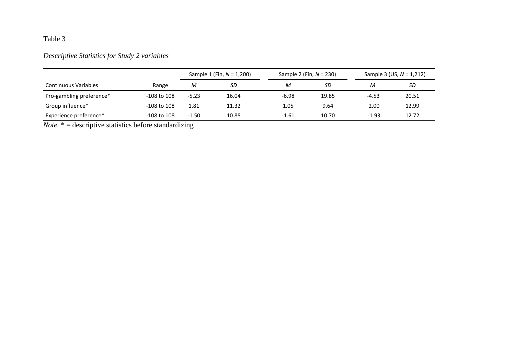# *Descriptive Statistics for Study 2 variables*

|                          |                 |         | Sample 1 (Fin, $N = 1,200$ ) |         | Sample 2 (Fin, $N = 230$ ) | Sample 3 (US, $N = 1,212$ ) |       |  |
|--------------------------|-----------------|---------|------------------------------|---------|----------------------------|-----------------------------|-------|--|
| Continuous Variables     | Range           | M       | <b>SD</b>                    | М       | SD                         | М                           | SD    |  |
| Pro-gambling preference* | -108 to 108     | $-5.23$ | 16.04                        | $-6.98$ | 19.85                      | $-4.53$                     | 20.51 |  |
| Group influence*         | $-108$ to $108$ | 1.81    | 11.32                        | 1.05    | 9.64                       | 2.00                        | 12.99 |  |
| Experience preference*   | $-108$ to $108$ | $-1.50$ | 10.88                        | $-1.61$ | 10.70                      | $-1.93$                     | 12.72 |  |

*Note.* \* = descriptive statistics before standardizing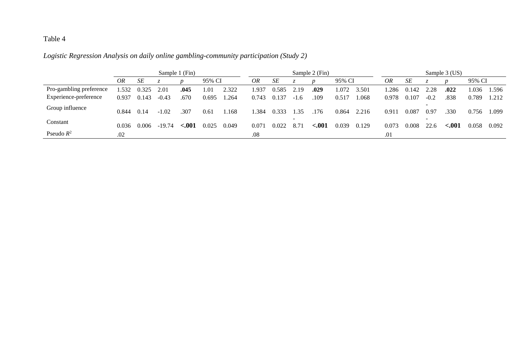|                         | Sample 1 (Fin) |       |          |         |        |                 | Sample 2 (Fin) |       |        |         |        |       |       | Sample 3 (US) |        |         |        |       |  |  |
|-------------------------|----------------|-------|----------|---------|--------|-----------------|----------------|-------|--------|---------|--------|-------|-------|---------------|--------|---------|--------|-------|--|--|
|                         | OR             | SE    |          |         | 95% CI |                 | OR             | SЕ    |        | n       | 95% CI |       | OR    | SЕ            |        |         | 95% CI |       |  |  |
| Pro-gambling preference | 1.532          | 0.325 | 2.01     | .045    | 1.01   | 2.322           | 1.937          | 0.585 | 2.19   | .029    | .072   | 3.501 | 1.286 | 0.142         | 2.28   | .022    | .036   | 1.596 |  |  |
| Experience-preference   | 0.937          | 0.143 | $-0.43$  | .670    | 0.695  | 1.264           | 0.743          | 0.137 | $-1.6$ | .109    | 0.517  | .068  | 0.978 | 0.107         | $-0.2$ | .838    | 0.789  | 1.212 |  |  |
| Group influence         | 0.844          | 0.14  | $-1.02$  | .307    | 0.61   | $^{\circ}$ .168 | 1.384          | 0.333 | 1.35   | .176    | 0.864  | 2.216 | 0.911 | 0.087         | 0.97   | .330    | 0.756  | 1.099 |  |  |
| Constant                | 0.036          | 0.006 | $-19.74$ | $-.001$ | 0.025  | 0.049           | 0.071          | 0.022 | 8.71   | $-.001$ | 0.039  | 0.129 | 0.073 | 0.008         | 22.6   | $-.001$ | 0.058  | 0.092 |  |  |
| Pseudo $R^2$            | .02            |       |          |         |        |                 | .08            |       |        |         |        |       | .01   |               |        |         |        |       |  |  |

*Logistic Regression Analysis on daily online gambling-community participation (Study 2)*